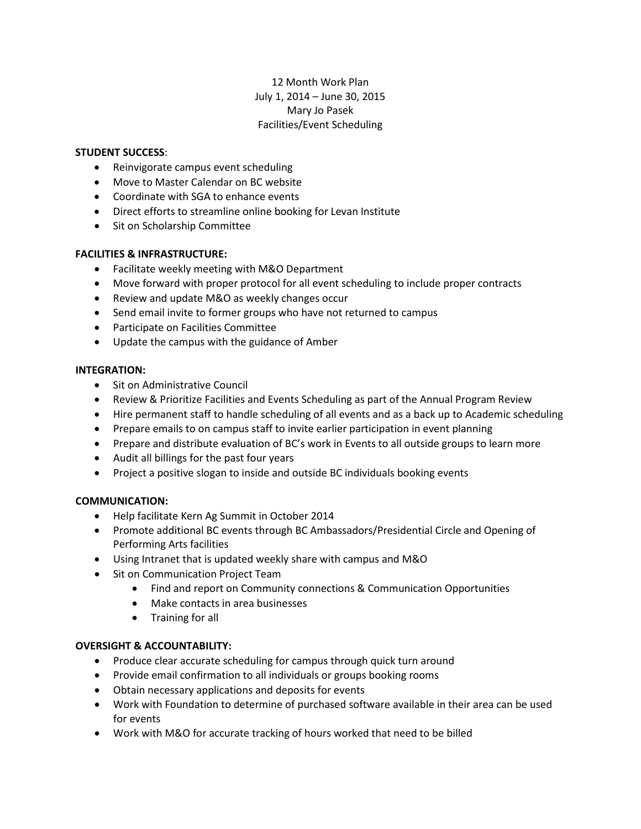# 12 Month Work Plan July 1, 2014 – June 30, 2015 Mary Jo Pasek Facilities/Event Scheduling

## **STUDENT SUCCESS**:

- Reinvigorate campus event scheduling
- Move to Master Calendar on BC website
- Coordinate with SGA to enhance events
- Direct efforts to streamline online booking for Levan Institute
- Sit on Scholarship Committee

## **FACILITIES & INFRASTRUCTURE:**

- Facilitate weekly meeting with M&O Department
- Move forward with proper protocol for all event scheduling to include proper contracts
- Review and update M&O as weekly changes occur
- Send email invite to former groups who have not returned to campus
- Participate on Facilities Committee
- Update the campus with the guidance of Amber

#### **INTEGRATION:**

- Sit on Administrative Council
- Review & Prioritize Facilities and Events Scheduling as part of the Annual Program Review
- Hire permanent staff to handle scheduling of all events and as a back up to Academic scheduling
- Prepare emails to on campus staff to invite earlier participation in event planning
- Prepare and distribute evaluation of BC's work in Events to all outside groups to learn more
- Audit all billings for the past four years
- Project a positive slogan to inside and outside BC individuals booking events

#### **COMMUNICATION:**

- Help facilitate Kern Ag Summit in October 2014
- Promote additional BC events through BC Ambassadors/Presidential Circle and Opening of Performing Arts facilities
- Using Intranet that is updated weekly share with campus and M&O
- Sit on Communication Project Team
	- Find and report on Community connections & Communication Opportunities
	- Make contacts in area businesses
	- Training for all

#### **OVERSIGHT & ACCOUNTABILITY:**

- Produce clear accurate scheduling for campus through quick turn around
- Provide email confirmation to all individuals or groups booking rooms
- Obtain necessary applications and deposits for events
- Work with Foundation to determine of purchased software available in their area can be used for events
- Work with M&O for accurate tracking of hours worked that need to be billed